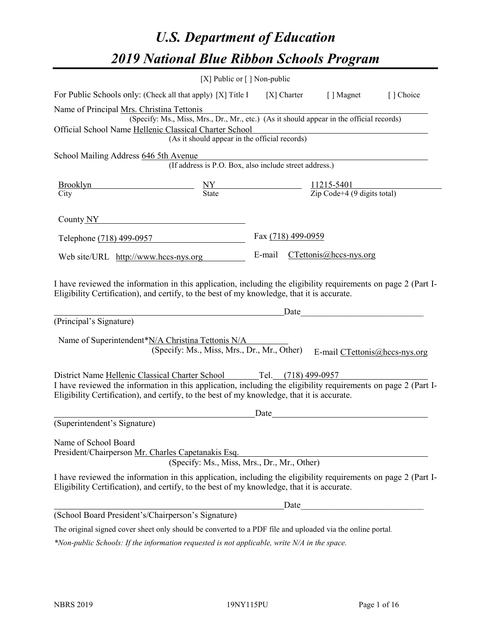# *U.S. Department of Education 2019 National Blue Ribbon Schools Program*

|                                                                                                                                                                                                                                                                                              | [X] Public or [] Non-public                                                                                                               |                    |                                                                                                                                                                                                                                                                |           |
|----------------------------------------------------------------------------------------------------------------------------------------------------------------------------------------------------------------------------------------------------------------------------------------------|-------------------------------------------------------------------------------------------------------------------------------------------|--------------------|----------------------------------------------------------------------------------------------------------------------------------------------------------------------------------------------------------------------------------------------------------------|-----------|
| For Public Schools only: (Check all that apply) [X] Title I                                                                                                                                                                                                                                  |                                                                                                                                           |                    | [X] Charter [] Magnet                                                                                                                                                                                                                                          | [] Choice |
| Name of Principal Mrs. Christina Tettonis<br>Official School Name Hellenic Classical Charter School                                                                                                                                                                                          | (Specify: Ms., Miss, Mrs., Dr., Mr., etc.) (As it should appear in the official records)<br>(As it should appear in the official records) |                    |                                                                                                                                                                                                                                                                |           |
| School Mailing Address 646 5th Avenue                                                                                                                                                                                                                                                        |                                                                                                                                           |                    |                                                                                                                                                                                                                                                                |           |
|                                                                                                                                                                                                                                                                                              | $($ The Equation of Theorem (If address is P.O. Box, also include street address.)                                                        |                    |                                                                                                                                                                                                                                                                |           |
| $\frac{\text{Brooklyn}}{\text{City}}$ $\frac{\text{NY}}{\text{State}}$ $\frac{11215-5401}{\text{Zip Code}+4 (9 \text{ digits total})}$                                                                                                                                                       |                                                                                                                                           |                    |                                                                                                                                                                                                                                                                |           |
| County $NY$                                                                                                                                                                                                                                                                                  |                                                                                                                                           |                    |                                                                                                                                                                                                                                                                |           |
| Telephone (718) 499-0957                                                                                                                                                                                                                                                                     |                                                                                                                                           | Fax (718) 499-0959 |                                                                                                                                                                                                                                                                |           |
| Web site/URL http://www.hccs-nys.org                                                                                                                                                                                                                                                         |                                                                                                                                           |                    | E-mail CTettonis@hccs-nys.org                                                                                                                                                                                                                                  |           |
| I have reviewed the information in this application, including the eligibility requirements on page 2 (Part I-<br>Eligibility Certification), and certify, to the best of my knowledge, that it is accurate.<br>(Principal's Signature)<br>Name of Superintendent*N/A Christina Tettonis N/A | (Specify: Ms., Miss, Mrs., Dr., Mr., Other)                                                                                               |                    | Date experience and the set of the set of the set of the set of the set of the set of the set of the set of the set of the set of the set of the set of the set of the set of the set of the set of the set of the set of the<br>E-mail CTettonis@hccs-nys.org |           |
| District Name Hellenic Classical Charter School Tel. (718) 499-0957<br>I have reviewed the information in this application, including the eligibility requirements on page 2 (Part I-<br>Eligibility Certification), and certify, to the best of my knowledge, that it is accurate.          |                                                                                                                                           |                    |                                                                                                                                                                                                                                                                |           |
| (Superintendent's Signature)                                                                                                                                                                                                                                                                 |                                                                                                                                           | Date               |                                                                                                                                                                                                                                                                |           |
| Name of School Board<br>President/Chairperson Mr. Charles Capetanakis Esq.                                                                                                                                                                                                                   | (Specify: Ms., Miss, Mrs., Dr., Mr., Other)                                                                                               |                    |                                                                                                                                                                                                                                                                |           |
| I have reviewed the information in this application, including the eligibility requirements on page 2 (Part I-<br>Eligibility Certification), and certify, to the best of my knowledge, that it is accurate.                                                                                 |                                                                                                                                           |                    |                                                                                                                                                                                                                                                                |           |
|                                                                                                                                                                                                                                                                                              |                                                                                                                                           | Date               |                                                                                                                                                                                                                                                                |           |
| (School Board President's/Chairperson's Signature)                                                                                                                                                                                                                                           |                                                                                                                                           |                    |                                                                                                                                                                                                                                                                |           |
| The original signed cover sheet only should be converted to a PDF file and uploaded via the online portal.                                                                                                                                                                                   |                                                                                                                                           |                    |                                                                                                                                                                                                                                                                |           |

*\*Non-public Schools: If the information requested is not applicable, write N/A in the space.*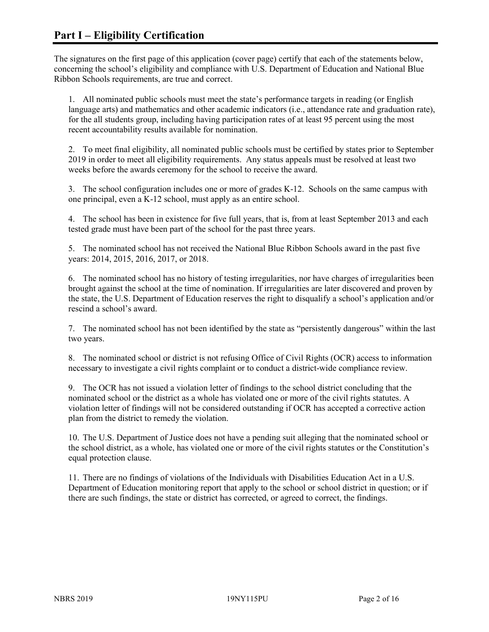The signatures on the first page of this application (cover page) certify that each of the statements below, concerning the school's eligibility and compliance with U.S. Department of Education and National Blue Ribbon Schools requirements, are true and correct.

1. All nominated public schools must meet the state's performance targets in reading (or English language arts) and mathematics and other academic indicators (i.e., attendance rate and graduation rate), for the all students group, including having participation rates of at least 95 percent using the most recent accountability results available for nomination.

2. To meet final eligibility, all nominated public schools must be certified by states prior to September 2019 in order to meet all eligibility requirements. Any status appeals must be resolved at least two weeks before the awards ceremony for the school to receive the award.

3. The school configuration includes one or more of grades K-12. Schools on the same campus with one principal, even a K-12 school, must apply as an entire school.

4. The school has been in existence for five full years, that is, from at least September 2013 and each tested grade must have been part of the school for the past three years.

5. The nominated school has not received the National Blue Ribbon Schools award in the past five years: 2014, 2015, 2016, 2017, or 2018.

6. The nominated school has no history of testing irregularities, nor have charges of irregularities been brought against the school at the time of nomination. If irregularities are later discovered and proven by the state, the U.S. Department of Education reserves the right to disqualify a school's application and/or rescind a school's award.

7. The nominated school has not been identified by the state as "persistently dangerous" within the last two years.

8. The nominated school or district is not refusing Office of Civil Rights (OCR) access to information necessary to investigate a civil rights complaint or to conduct a district-wide compliance review.

9. The OCR has not issued a violation letter of findings to the school district concluding that the nominated school or the district as a whole has violated one or more of the civil rights statutes. A violation letter of findings will not be considered outstanding if OCR has accepted a corrective action plan from the district to remedy the violation.

10. The U.S. Department of Justice does not have a pending suit alleging that the nominated school or the school district, as a whole, has violated one or more of the civil rights statutes or the Constitution's equal protection clause.

11. There are no findings of violations of the Individuals with Disabilities Education Act in a U.S. Department of Education monitoring report that apply to the school or school district in question; or if there are such findings, the state or district has corrected, or agreed to correct, the findings.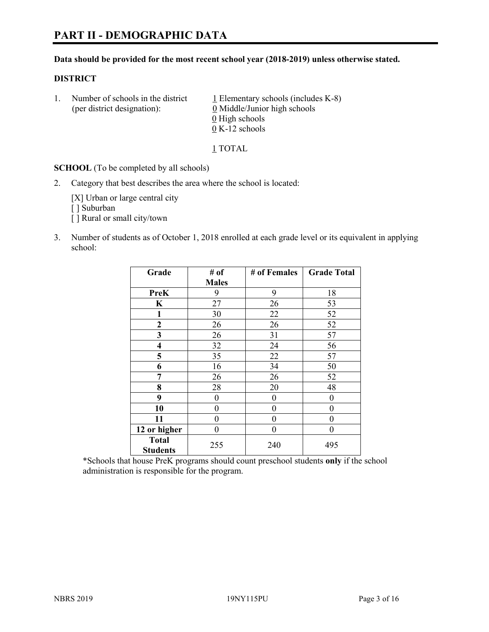#### **Data should be provided for the most recent school year (2018-2019) unless otherwise stated.**

#### **DISTRICT**

1. Number of schools in the district  $1$  Elementary schools (includes K-8) (per district designation): 0 Middle/Junior high schools  $\underline{0}$  High schools 0 K-12 schools

1 TOTAL

**SCHOOL** (To be completed by all schools)

2. Category that best describes the area where the school is located:

[X] Urban or large central city [ ] Suburban [] Rural or small city/town

3. Number of students as of October 1, 2018 enrolled at each grade level or its equivalent in applying school:

| Grade                           | # of         | # of Females | <b>Grade Total</b> |
|---------------------------------|--------------|--------------|--------------------|
|                                 | <b>Males</b> |              |                    |
| <b>PreK</b>                     | 9            | 9            | 18                 |
| $\mathbf K$                     | 27           | 26           | 53                 |
| 1                               | 30           | 22           | 52                 |
| 2                               | 26           | 26           | 52                 |
| 3                               | 26           | 31           | 57                 |
| $\overline{\mathbf{4}}$         | 32           | 24           | 56                 |
| 5                               | 35           | 22           | 57                 |
| 6                               | 16           | 34           | 50                 |
| 7                               | 26           | 26           | 52                 |
| 8                               | 28           | 20           | 48                 |
| 9                               | 0            | 0            | 0                  |
| 10                              | 0            | $\theta$     | 0                  |
| 11                              | 0            | $\theta$     | 0                  |
| 12 or higher                    | 0            | $\theta$     | 0                  |
| <b>Total</b><br><b>Students</b> | 255          | 240          | 495                |

\*Schools that house PreK programs should count preschool students **only** if the school administration is responsible for the program.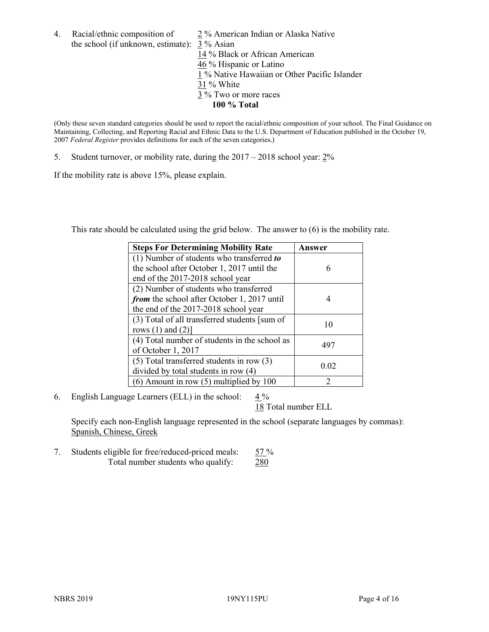4. Racial/ethnic composition of  $\qquad 2\%$  American Indian or Alaska Native the school (if unknown, estimate): 3 % Asian 14 % Black or African American 46 % Hispanic or Latino  $\frac{1}{1}$ % Native Hawaiian or Other Pacific Islander 31 % White 3 % Two or more races **100 % Total**

(Only these seven standard categories should be used to report the racial/ethnic composition of your school. The Final Guidance on Maintaining, Collecting, and Reporting Racial and Ethnic Data to the U.S. Department of Education published in the October 19, 2007 *Federal Register* provides definitions for each of the seven categories.)

5. Student turnover, or mobility rate, during the 2017 – 2018 school year: 2%

If the mobility rate is above 15%, please explain.

This rate should be calculated using the grid below. The answer to (6) is the mobility rate.

| <b>Steps For Determining Mobility Rate</b>    | Answer |
|-----------------------------------------------|--------|
| (1) Number of students who transferred to     |        |
| the school after October 1, 2017 until the    | 6      |
| end of the 2017-2018 school year              |        |
| (2) Number of students who transferred        |        |
| from the school after October 1, 2017 until   | 4      |
| the end of the 2017-2018 school year          |        |
| (3) Total of all transferred students [sum of | 10     |
| rows $(1)$ and $(2)$ ]                        |        |
| (4) Total number of students in the school as | 497    |
| of October 1, 2017                            |        |
| $(5)$ Total transferred students in row $(3)$ |        |
| divided by total students in row (4)          | 0.02   |
| $(6)$ Amount in row $(5)$ multiplied by 100   | 2      |

6. English Language Learners (ELL) in the school:  $4\%$ 

18 Total number ELL

Specify each non-English language represented in the school (separate languages by commas): Spanish, Chinese, Greek

7. Students eligible for free/reduced-priced meals: 57 % Total number students who qualify: 280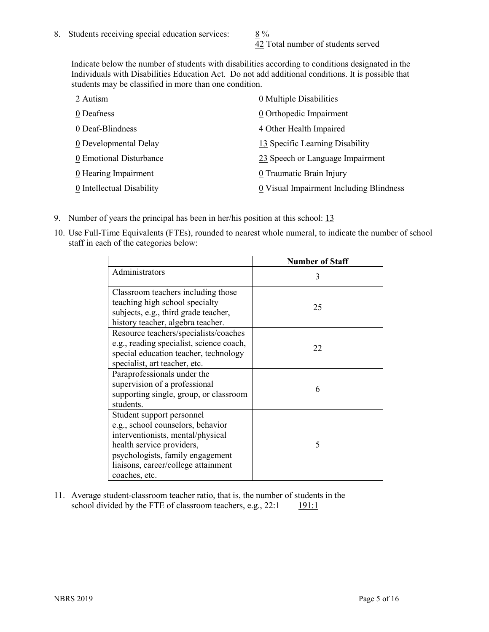42 Total number of students served

Indicate below the number of students with disabilities according to conditions designated in the Individuals with Disabilities Education Act. Do not add additional conditions. It is possible that students may be classified in more than one condition.

| 2 Autism                  | 0 Multiple Disabilities                 |
|---------------------------|-----------------------------------------|
| 0 Deafness                | 0 Orthopedic Impairment                 |
| 0 Deaf-Blindness          | 4 Other Health Impaired                 |
| 0 Developmental Delay     | 13 Specific Learning Disability         |
| 0 Emotional Disturbance   | 23 Speech or Language Impairment        |
| 0 Hearing Impairment      | 0 Traumatic Brain Injury                |
| 0 Intellectual Disability | 0 Visual Impairment Including Blindness |

- 9. Number of years the principal has been in her/his position at this school: 13
- 10. Use Full-Time Equivalents (FTEs), rounded to nearest whole numeral, to indicate the number of school staff in each of the categories below:

|                                                                                                                                                                                                                              | <b>Number of Staff</b> |
|------------------------------------------------------------------------------------------------------------------------------------------------------------------------------------------------------------------------------|------------------------|
| Administrators                                                                                                                                                                                                               | 3                      |
| Classroom teachers including those<br>teaching high school specialty<br>subjects, e.g., third grade teacher,<br>history teacher, algebra teacher.                                                                            | 25                     |
| Resource teachers/specialists/coaches<br>e.g., reading specialist, science coach,<br>special education teacher, technology<br>specialist, art teacher, etc.                                                                  | 22                     |
| Paraprofessionals under the<br>supervision of a professional<br>supporting single, group, or classroom<br>students.                                                                                                          | 6                      |
| Student support personnel<br>e.g., school counselors, behavior<br>interventionists, mental/physical<br>health service providers,<br>psychologists, family engagement<br>liaisons, career/college attainment<br>coaches, etc. | 5                      |

11. Average student-classroom teacher ratio, that is, the number of students in the school divided by the FTE of classroom teachers, e.g., 22:1 191:1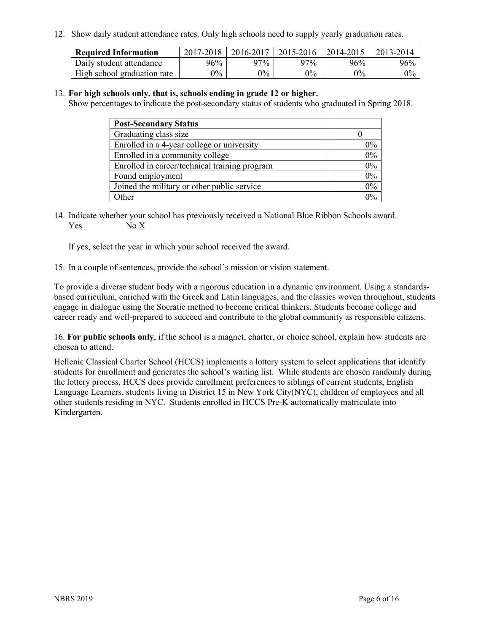12. Show daily student attendance rates. Only high schools need to supply yearly graduation rates.

| <b>Required Information</b> | 2017-2018 | 2016-2017 | 2015-2016 | 2014-2015 | 2013-2014 |
|-----------------------------|-----------|-----------|-----------|-----------|-----------|
| Daily student attendance    | 96%       | 97%       | 97%       | 96%       | 96%       |
| High school graduation rate | $0\%$     | $0\%$     | $0\%$     | $9\%$     | $0\%$     |

#### 13. **For high schools only, that is, schools ending in grade 12 or higher.**

Show percentages to indicate the post-secondary status of students who graduated in Spring 2018.

| <b>Post-Secondary Status</b>                  |       |
|-----------------------------------------------|-------|
| Graduating class size                         |       |
| Enrolled in a 4-year college or university    | $0\%$ |
| Enrolled in a community college               | 0%    |
| Enrolled in career/technical training program | 0%    |
| Found employment                              | 0%    |
| Joined the military or other public service   | 0%    |
| Other                                         | $0\%$ |

14. Indicate whether your school has previously received a National Blue Ribbon Schools award. Yes No X

If yes, select the year in which your school received the award.

15. In a couple of sentences, provide the school's mission or vision statement.

To provide a diverse student body with a rigorous education in a dynamic environment. Using a standardsbased curriculum, enriched with the Greek and Latin languages, and the classics woven throughout, students engage in dialogue using the Socratic method to become critical thinkers. Students become college and career ready and well-prepared to succeed and contribute to the global community as responsible citizens.

16. **For public schools only**, if the school is a magnet, charter, or choice school, explain how students are chosen to attend.

Hellenic Classical Charter School (HCCS) implements a lottery system to select applications that identify students for enrollment and generates the school's waiting list. While students are chosen randomly during the lottery process, HCCS does provide enrollment preferences to siblings of current students, English Language Learners, students living in District 15 in New York City(NYC), children of employees and all other students residing in NYC. Students enrolled in HCCS Pre-K automatically matriculate into Kindergarten.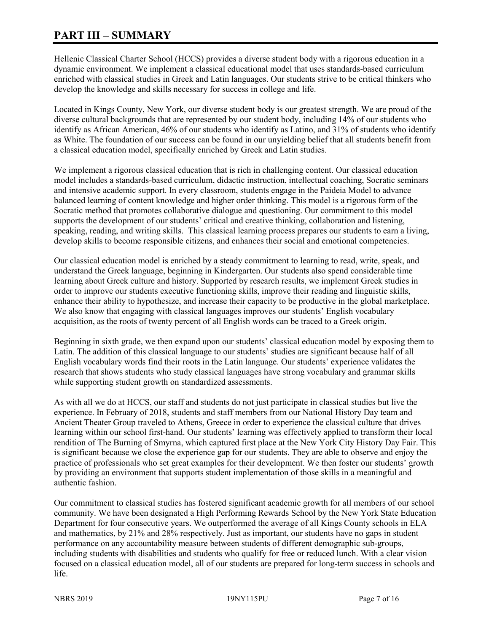# **PART III – SUMMARY**

Hellenic Classical Charter School (HCCS) provides a diverse student body with a rigorous education in a dynamic environment. We implement a classical educational model that uses standards-based curriculum enriched with classical studies in Greek and Latin languages. Our students strive to be critical thinkers who develop the knowledge and skills necessary for success in college and life.

Located in Kings County, New York, our diverse student body is our greatest strength. We are proud of the diverse cultural backgrounds that are represented by our student body, including 14% of our students who identify as African American, 46% of our students who identify as Latino, and 31% of students who identify as White. The foundation of our success can be found in our unyielding belief that all students benefit from a classical education model, specifically enriched by Greek and Latin studies.

We implement a rigorous classical education that is rich in challenging content. Our classical education model includes a standards-based curriculum, didactic instruction, intellectual coaching, Socratic seminars and intensive academic support. In every classroom, students engage in the Paideia Model to advance balanced learning of content knowledge and higher order thinking. This model is a rigorous form of the Socratic method that promotes collaborative dialogue and questioning. Our commitment to this model supports the development of our students' critical and creative thinking, collaboration and listening, speaking, reading, and writing skills. This classical learning process prepares our students to earn a living, develop skills to become responsible citizens, and enhances their social and emotional competencies.

Our classical education model is enriched by a steady commitment to learning to read, write, speak, and understand the Greek language, beginning in Kindergarten. Our students also spend considerable time learning about Greek culture and history. Supported by research results, we implement Greek studies in order to improve our students executive functioning skills, improve their reading and linguistic skills, enhance their ability to hypothesize, and increase their capacity to be productive in the global marketplace. We also know that engaging with classical languages improves our students' English vocabulary acquisition, as the roots of twenty percent of all English words can be traced to a Greek origin.

Beginning in sixth grade, we then expand upon our students' classical education model by exposing them to Latin. The addition of this classical language to our students' studies are significant because half of all English vocabulary words find their roots in the Latin language. Our students' experience validates the research that shows students who study classical languages have strong vocabulary and grammar skills while supporting student growth on standardized assessments.

As with all we do at HCCS, our staff and students do not just participate in classical studies but live the experience. In February of 2018, students and staff members from our National History Day team and Ancient Theater Group traveled to Athens, Greece in order to experience the classical culture that drives learning within our school first-hand. Our students' learning was effectively applied to transform their local rendition of The Burning of Smyrna, which captured first place at the New York City History Day Fair. This is significant because we close the experience gap for our students. They are able to observe and enjoy the practice of professionals who set great examples for their development. We then foster our students' growth by providing an environment that supports student implementation of those skills in a meaningful and authentic fashion.

Our commitment to classical studies has fostered significant academic growth for all members of our school community. We have been designated a High Performing Rewards School by the New York State Education Department for four consecutive years. We outperformed the average of all Kings County schools in ELA and mathematics, by 21% and 28% respectively. Just as important, our students have no gaps in student performance on any accountability measure between students of different demographic sub-groups, including students with disabilities and students who qualify for free or reduced lunch. With a clear vision focused on a classical education model, all of our students are prepared for long-term success in schools and life.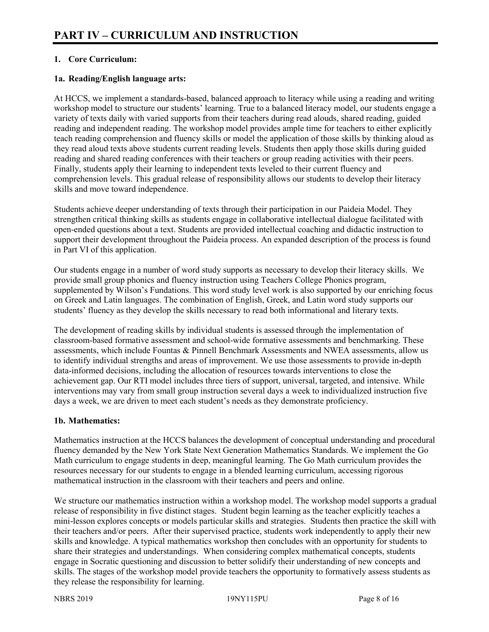# **1. Core Curriculum:**

#### **1a. Reading/English language arts:**

At HCCS, we implement a standards-based, balanced approach to literacy while using a reading and writing workshop model to structure our students' learning. True to a balanced literacy model, our students engage a variety of texts daily with varied supports from their teachers during read alouds, shared reading, guided reading and independent reading. The workshop model provides ample time for teachers to either explicitly teach reading comprehension and fluency skills or model the application of those skills by thinking aloud as they read aloud texts above students current reading levels. Students then apply those skills during guided reading and shared reading conferences with their teachers or group reading activities with their peers. Finally, students apply their learning to independent texts leveled to their current fluency and comprehension levels. This gradual release of responsibility allows our students to develop their literacy skills and move toward independence.

Students achieve deeper understanding of texts through their participation in our Paideia Model. They strengthen critical thinking skills as students engage in collaborative intellectual dialogue facilitated with open-ended questions about a text. Students are provided intellectual coaching and didactic instruction to support their development throughout the Paideia process. An expanded description of the process is found in Part VI of this application.

Our students engage in a number of word study supports as necessary to develop their literacy skills. We provide small group phonics and fluency instruction using Teachers College Phonics program, supplemented by Wilson's Fundations. This word study level work is also supported by our enriching focus on Greek and Latin languages. The combination of English, Greek, and Latin word study supports our students' fluency as they develop the skills necessary to read both informational and literary texts.

The development of reading skills by individual students is assessed through the implementation of classroom-based formative assessment and school-wide formative assessments and benchmarking. These assessments, which include Fountas & Pinnell Benchmark Assessments and NWEA assessments, allow us to identify individual strengths and areas of improvement. We use those assessments to provide in-depth data-informed decisions, including the allocation of resources towards interventions to close the achievement gap. Our RTI model includes three tiers of support, universal, targeted, and intensive. While interventions may vary from small group instruction several days a week to individualized instruction five days a week, we are driven to meet each student's needs as they demonstrate proficiency.

# **1b. Mathematics:**

Mathematics instruction at the HCCS balances the development of conceptual understanding and procedural fluency demanded by the New York State Next Generation Mathematics Standards. We implement the Go Math curriculum to engage students in deep, meaningful learning. The Go Math curriculum provides the resources necessary for our students to engage in a blended learning curriculum, accessing rigorous mathematical instruction in the classroom with their teachers and peers and online.

We structure our mathematics instruction within a workshop model. The workshop model supports a gradual release of responsibility in five distinct stages. Student begin learning as the teacher explicitly teaches a mini-lesson explores concepts or models particular skills and strategies. Students then practice the skill with their teachers and/or peers. After their supervised practice, students work independently to apply their new skills and knowledge. A typical mathematics workshop then concludes with an opportunity for students to share their strategies and understandings. When considering complex mathematical concepts, students engage in Socratic questioning and discussion to better solidify their understanding of new concepts and skills. The stages of the workshop model provide teachers the opportunity to formatively assess students as they release the responsibility for learning.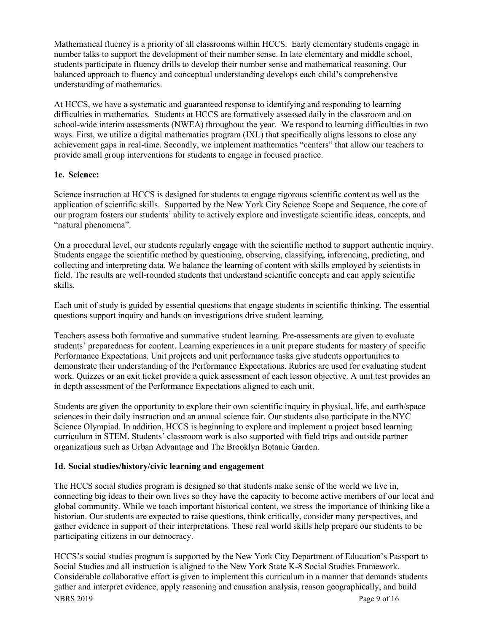Mathematical fluency is a priority of all classrooms within HCCS. Early elementary students engage in number talks to support the development of their number sense. In late elementary and middle school, students participate in fluency drills to develop their number sense and mathematical reasoning. Our balanced approach to fluency and conceptual understanding develops each child's comprehensive understanding of mathematics.

At HCCS, we have a systematic and guaranteed response to identifying and responding to learning difficulties in mathematics. Students at HCCS are formatively assessed daily in the classroom and on school-wide interim assessments (NWEA) throughout the year. We respond to learning difficulties in two ways. First, we utilize a digital mathematics program (IXL) that specifically aligns lessons to close any achievement gaps in real-time. Secondly, we implement mathematics "centers" that allow our teachers to provide small group interventions for students to engage in focused practice.

#### **1c. Science:**

Science instruction at HCCS is designed for students to engage rigorous scientific content as well as the application of scientific skills. Supported by the New York City Science Scope and Sequence, the core of our program fosters our students' ability to actively explore and investigate scientific ideas, concepts, and "natural phenomena".

On a procedural level, our students regularly engage with the scientific method to support authentic inquiry. Students engage the scientific method by questioning, observing, classifying, inferencing, predicting, and collecting and interpreting data. We balance the learning of content with skills employed by scientists in field. The results are well-rounded students that understand scientific concepts and can apply scientific skills.

Each unit of study is guided by essential questions that engage students in scientific thinking. The essential questions support inquiry and hands on investigations drive student learning.

Teachers assess both formative and summative student learning. Pre-assessments are given to evaluate students' preparedness for content. Learning experiences in a unit prepare students for mastery of specific Performance Expectations. Unit projects and unit performance tasks give students opportunities to demonstrate their understanding of the Performance Expectations. Rubrics are used for evaluating student work. Quizzes or an exit ticket provide a quick assessment of each lesson objective. A unit test provides an in depth assessment of the Performance Expectations aligned to each unit.

Students are given the opportunity to explore their own scientific inquiry in physical, life, and earth/space sciences in their daily instruction and an annual science fair. Our students also participate in the NYC Science Olympiad. In addition, HCCS is beginning to explore and implement a project based learning curriculum in STEM. Students' classroom work is also supported with field trips and outside partner organizations such as Urban Advantage and The Brooklyn Botanic Garden.

#### **1d. Social studies/history/civic learning and engagement**

The HCCS social studies program is designed so that students make sense of the world we live in, connecting big ideas to their own lives so they have the capacity to become active members of our local and global community. While we teach important historical content, we stress the importance of thinking like a historian. Our students are expected to raise questions, think critically, consider many perspectives, and gather evidence in support of their interpretations. These real world skills help prepare our students to be participating citizens in our democracy.

NBRS 2019 Page 9 of 16 HCCS's social studies program is supported by the New York City Department of Education's Passport to Social Studies and all instruction is aligned to the New York State K-8 Social Studies Framework. Considerable collaborative effort is given to implement this curriculum in a manner that demands students gather and interpret evidence, apply reasoning and causation analysis, reason geographically, and build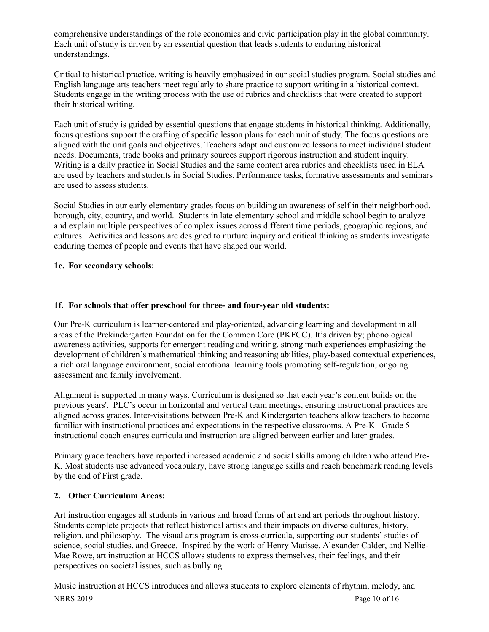comprehensive understandings of the role economics and civic participation play in the global community. Each unit of study is driven by an essential question that leads students to enduring historical understandings.

Critical to historical practice, writing is heavily emphasized in our social studies program. Social studies and English language arts teachers meet regularly to share practice to support writing in a historical context. Students engage in the writing process with the use of rubrics and checklists that were created to support their historical writing.

Each unit of study is guided by essential questions that engage students in historical thinking. Additionally, focus questions support the crafting of specific lesson plans for each unit of study. The focus questions are aligned with the unit goals and objectives. Teachers adapt and customize lessons to meet individual student needs. Documents, trade books and primary sources support rigorous instruction and student inquiry. Writing is a daily practice in Social Studies and the same content area rubrics and checklists used in ELA are used by teachers and students in Social Studies. Performance tasks, formative assessments and seminars are used to assess students.

Social Studies in our early elementary grades focus on building an awareness of self in their neighborhood, borough, city, country, and world. Students in late elementary school and middle school begin to analyze and explain multiple perspectives of complex issues across different time periods, geographic regions, and cultures. Activities and lessons are designed to nurture inquiry and critical thinking as students investigate enduring themes of people and events that have shaped our world.

# **1e. For secondary schools:**

# **1f. For schools that offer preschool for three- and four-year old students:**

Our Pre-K curriculum is learner-centered and play-oriented, advancing learning and development in all areas of the Prekindergarten Foundation for the Common Core (PKFCC). It's driven by; phonological awareness activities, supports for emergent reading and writing, strong math experiences emphasizing the development of children's mathematical thinking and reasoning abilities, play-based contextual experiences, a rich oral language environment, social emotional learning tools promoting self-regulation, ongoing assessment and family involvement.

Alignment is supported in many ways. Curriculum is designed so that each year's content builds on the previous years'. PLC's occur in horizontal and vertical team meetings, ensuring instructional practices are aligned across grades. Inter-visitations between Pre-K and Kindergarten teachers allow teachers to become familiar with instructional practices and expectations in the respective classrooms. A Pre-K –Grade 5 instructional coach ensures curricula and instruction are aligned between earlier and later grades.

Primary grade teachers have reported increased academic and social skills among children who attend Pre-K. Most students use advanced vocabulary, have strong language skills and reach benchmark reading levels by the end of First grade.

# **2. Other Curriculum Areas:**

Art instruction engages all students in various and broad forms of art and art periods throughout history. Students complete projects that reflect historical artists and their impacts on diverse cultures, history, religion, and philosophy. The visual arts program is cross-curricula, supporting our students' studies of science, social studies, and Greece. Inspired by the work of Henry Matisse, Alexander Calder, and Nellie-Mae Rowe, art instruction at HCCS allows students to express themselves, their feelings, and their perspectives on societal issues, such as bullying.

NBRS 2019 Page 10 of 16 Music instruction at HCCS introduces and allows students to explore elements of rhythm, melody, and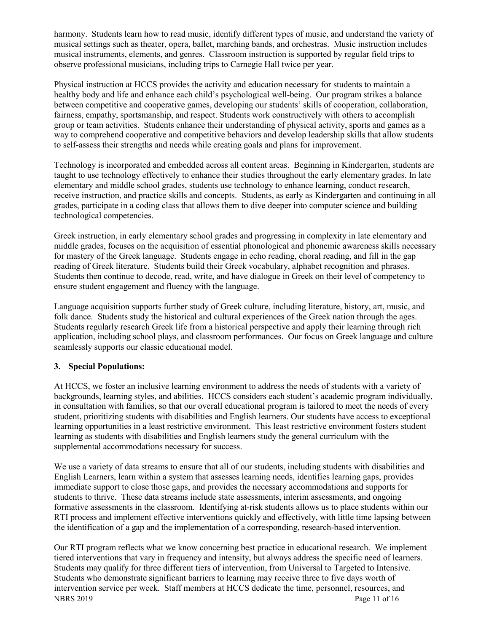harmony. Students learn how to read music, identify different types of music, and understand the variety of musical settings such as theater, opera, ballet, marching bands, and orchestras. Music instruction includes musical instruments, elements, and genres. Classroom instruction is supported by regular field trips to observe professional musicians, including trips to Carnegie Hall twice per year.

Physical instruction at HCCS provides the activity and education necessary for students to maintain a healthy body and life and enhance each child's psychological well-being. Our program strikes a balance between competitive and cooperative games, developing our students' skills of cooperation, collaboration, fairness, empathy, sportsmanship, and respect. Students work constructively with others to accomplish group or team activities. Students enhance their understanding of physical activity, sports and games as a way to comprehend cooperative and competitive behaviors and develop leadership skills that allow students to self-assess their strengths and needs while creating goals and plans for improvement.

Technology is incorporated and embedded across all content areas. Beginning in Kindergarten, students are taught to use technology effectively to enhance their studies throughout the early elementary grades. In late elementary and middle school grades, students use technology to enhance learning, conduct research, receive instruction, and practice skills and concepts. Students, as early as Kindergarten and continuing in all grades, participate in a coding class that allows them to dive deeper into computer science and building technological competencies.

Greek instruction, in early elementary school grades and progressing in complexity in late elementary and middle grades, focuses on the acquisition of essential phonological and phonemic awareness skills necessary for mastery of the Greek language. Students engage in echo reading, choral reading, and fill in the gap reading of Greek literature. Students build their Greek vocabulary, alphabet recognition and phrases. Students then continue to decode, read, write, and have dialogue in Greek on their level of competency to ensure student engagement and fluency with the language.

Language acquisition supports further study of Greek culture, including literature, history, art, music, and folk dance. Students study the historical and cultural experiences of the Greek nation through the ages. Students regularly research Greek life from a historical perspective and apply their learning through rich application, including school plays, and classroom performances. Our focus on Greek language and culture seamlessly supports our classic educational model.

# **3. Special Populations:**

At HCCS, we foster an inclusive learning environment to address the needs of students with a variety of backgrounds, learning styles, and abilities. HCCS considers each student's academic program individually, in consultation with families, so that our overall educational program is tailored to meet the needs of every student, prioritizing students with disabilities and English learners. Our students have access to exceptional learning opportunities in a least restrictive environment. This least restrictive environment fosters student learning as students with disabilities and English learners study the general curriculum with the supplemental accommodations necessary for success.

We use a variety of data streams to ensure that all of our students, including students with disabilities and English Learners, learn within a system that assesses learning needs, identifies learning gaps, provides immediate support to close those gaps, and provides the necessary accommodations and supports for students to thrive. These data streams include state assessments, interim assessments, and ongoing formative assessments in the classroom. Identifying at-risk students allows us to place students within our RTI process and implement effective interventions quickly and effectively, with little time lapsing between the identification of a gap and the implementation of a corresponding, research-based intervention.

NBRS 2019 Page 11 of 16 Our RTI program reflects what we know concerning best practice in educational research. We implement tiered interventions that vary in frequency and intensity, but always address the specific need of learners. Students may qualify for three different tiers of intervention, from Universal to Targeted to Intensive. Students who demonstrate significant barriers to learning may receive three to five days worth of intervention service per week. Staff members at HCCS dedicate the time, personnel, resources, and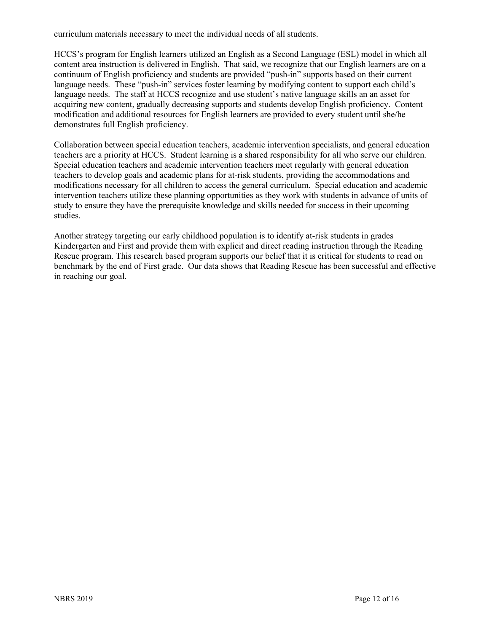curriculum materials necessary to meet the individual needs of all students.

HCCS's program for English learners utilized an English as a Second Language (ESL) model in which all content area instruction is delivered in English. That said, we recognize that our English learners are on a continuum of English proficiency and students are provided "push-in" supports based on their current language needs. These "push-in" services foster learning by modifying content to support each child's language needs. The staff at HCCS recognize and use student's native language skills an an asset for acquiring new content, gradually decreasing supports and students develop English proficiency. Content modification and additional resources for English learners are provided to every student until she/he demonstrates full English proficiency.

Collaboration between special education teachers, academic intervention specialists, and general education teachers are a priority at HCCS. Student learning is a shared responsibility for all who serve our children. Special education teachers and academic intervention teachers meet regularly with general education teachers to develop goals and academic plans for at-risk students, providing the accommodations and modifications necessary for all children to access the general curriculum. Special education and academic intervention teachers utilize these planning opportunities as they work with students in advance of units of study to ensure they have the prerequisite knowledge and skills needed for success in their upcoming studies.

Another strategy targeting our early childhood population is to identify at-risk students in grades Kindergarten and First and provide them with explicit and direct reading instruction through the Reading Rescue program. This research based program supports our belief that it is critical for students to read on benchmark by the end of First grade. Our data shows that Reading Rescue has been successful and effective in reaching our goal.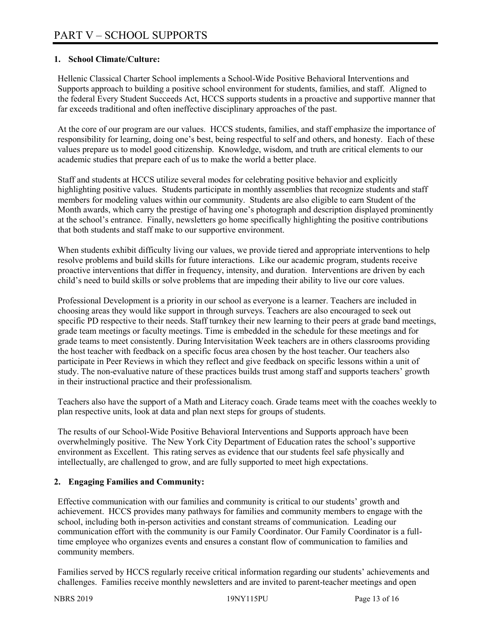# **1. School Climate/Culture:**

Hellenic Classical Charter School implements a School-Wide Positive Behavioral Interventions and Supports approach to building a positive school environment for students, families, and staff. Aligned to the federal Every Student Succeeds Act, HCCS supports students in a proactive and supportive manner that far exceeds traditional and often ineffective disciplinary approaches of the past.

At the core of our program are our values. HCCS students, families, and staff emphasize the importance of responsibility for learning, doing one's best, being respectful to self and others, and honesty. Each of these values prepare us to model good citizenship. Knowledge, wisdom, and truth are critical elements to our academic studies that prepare each of us to make the world a better place.

Staff and students at HCCS utilize several modes for celebrating positive behavior and explicitly highlighting positive values. Students participate in monthly assemblies that recognize students and staff members for modeling values within our community. Students are also eligible to earn Student of the Month awards, which carry the prestige of having one's photograph and description displayed prominently at the school's entrance. Finally, newsletters go home specifically highlighting the positive contributions that both students and staff make to our supportive environment.

When students exhibit difficulty living our values, we provide tiered and appropriate interventions to help resolve problems and build skills for future interactions. Like our academic program, students receive proactive interventions that differ in frequency, intensity, and duration. Interventions are driven by each child's need to build skills or solve problems that are impeding their ability to live our core values.

Professional Development is a priority in our school as everyone is a learner. Teachers are included in choosing areas they would like support in through surveys. Teachers are also encouraged to seek out specific PD respective to their needs. Staff turnkey their new learning to their peers at grade band meetings, grade team meetings or faculty meetings. Time is embedded in the schedule for these meetings and for grade teams to meet consistently. During Intervisitation Week teachers are in others classrooms providing the host teacher with feedback on a specific focus area chosen by the host teacher. Our teachers also participate in Peer Reviews in which they reflect and give feedback on specific lessons within a unit of study. The non-evaluative nature of these practices builds trust among staff and supports teachers' growth in their instructional practice and their professionalism.

Teachers also have the support of a Math and Literacy coach. Grade teams meet with the coaches weekly to plan respective units, look at data and plan next steps for groups of students.

The results of our School-Wide Positive Behavioral Interventions and Supports approach have been overwhelmingly positive. The New York City Department of Education rates the school's supportive environment as Excellent. This rating serves as evidence that our students feel safe physically and intellectually, are challenged to grow, and are fully supported to meet high expectations.

# **2. Engaging Families and Community:**

Effective communication with our families and community is critical to our students' growth and achievement. HCCS provides many pathways for families and community members to engage with the school, including both in-person activities and constant streams of communication. Leading our communication effort with the community is our Family Coordinator. Our Family Coordinator is a fulltime employee who organizes events and ensures a constant flow of communication to families and community members.

Families served by HCCS regularly receive critical information regarding our students' achievements and challenges. Families receive monthly newsletters and are invited to parent-teacher meetings and open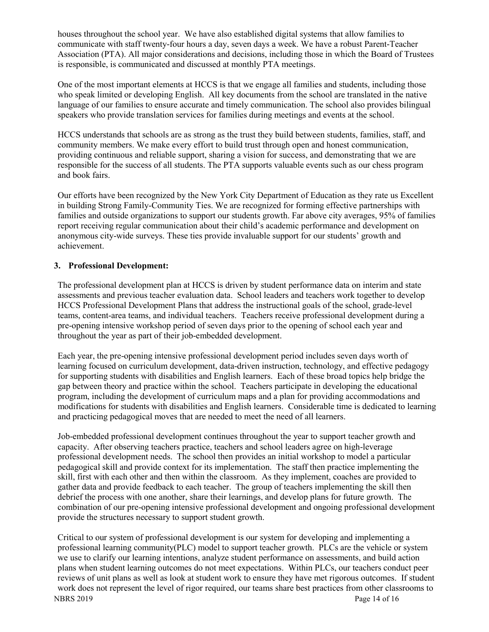houses throughout the school year. We have also established digital systems that allow families to communicate with staff twenty-four hours a day, seven days a week. We have a robust Parent-Teacher Association (PTA). All major considerations and decisions, including those in which the Board of Trustees is responsible, is communicated and discussed at monthly PTA meetings.

One of the most important elements at HCCS is that we engage all families and students, including those who speak limited or developing English. All key documents from the school are translated in the native language of our families to ensure accurate and timely communication. The school also provides bilingual speakers who provide translation services for families during meetings and events at the school.

HCCS understands that schools are as strong as the trust they build between students, families, staff, and community members. We make every effort to build trust through open and honest communication, providing continuous and reliable support, sharing a vision for success, and demonstrating that we are responsible for the success of all students. The PTA supports valuable events such as our chess program and book fairs.

Our efforts have been recognized by the New York City Department of Education as they rate us Excellent in building Strong Family-Community Ties. We are recognized for forming effective partnerships with families and outside organizations to support our students growth. Far above city averages, 95% of families report receiving regular communication about their child's academic performance and development on anonymous city-wide surveys. These ties provide invaluable support for our students' growth and achievement.

#### **3. Professional Development:**

The professional development plan at HCCS is driven by student performance data on interim and state assessments and previous teacher evaluation data. School leaders and teachers work together to develop HCCS Professional Development Plans that address the instructional goals of the school, grade-level teams, content-area teams, and individual teachers. Teachers receive professional development during a pre-opening intensive workshop period of seven days prior to the opening of school each year and throughout the year as part of their job-embedded development.

Each year, the pre-opening intensive professional development period includes seven days worth of learning focused on curriculum development, data-driven instruction, technology, and effective pedagogy for supporting students with disabilities and English learners. Each of these broad topics help bridge the gap between theory and practice within the school. Teachers participate in developing the educational program, including the development of curriculum maps and a plan for providing accommodations and modifications for students with disabilities and English learners. Considerable time is dedicated to learning and practicing pedagogical moves that are needed to meet the need of all learners.

Job-embedded professional development continues throughout the year to support teacher growth and capacity. After observing teachers practice, teachers and school leaders agree on high-leverage professional development needs. The school then provides an initial workshop to model a particular pedagogical skill and provide context for its implementation. The staff then practice implementing the skill, first with each other and then within the classroom. As they implement, coaches are provided to gather data and provide feedback to each teacher. The group of teachers implementing the skill then debrief the process with one another, share their learnings, and develop plans for future growth. The combination of our pre-opening intensive professional development and ongoing professional development provide the structures necessary to support student growth.

NBRS 2019 Page 14 of 16 Critical to our system of professional development is our system for developing and implementing a professional learning community(PLC) model to support teacher growth. PLCs are the vehicle or system we use to clarify our learning intentions, analyze student performance on assessments, and build action plans when student learning outcomes do not meet expectations. Within PLCs, our teachers conduct peer reviews of unit plans as well as look at student work to ensure they have met rigorous outcomes. If student work does not represent the level of rigor required, our teams share best practices from other classrooms to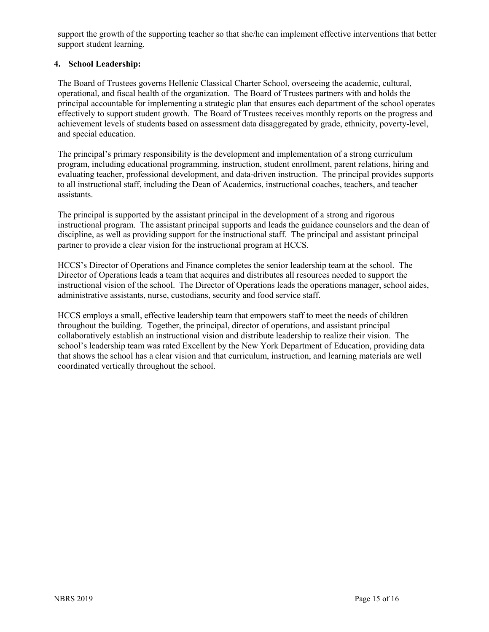support the growth of the supporting teacher so that she/he can implement effective interventions that better support student learning.

# **4. School Leadership:**

The Board of Trustees governs Hellenic Classical Charter School, overseeing the academic, cultural, operational, and fiscal health of the organization. The Board of Trustees partners with and holds the principal accountable for implementing a strategic plan that ensures each department of the school operates effectively to support student growth. The Board of Trustees receives monthly reports on the progress and achievement levels of students based on assessment data disaggregated by grade, ethnicity, poverty-level, and special education.

The principal's primary responsibility is the development and implementation of a strong curriculum program, including educational programming, instruction, student enrollment, parent relations, hiring and evaluating teacher, professional development, and data-driven instruction. The principal provides supports to all instructional staff, including the Dean of Academics, instructional coaches, teachers, and teacher assistants.

The principal is supported by the assistant principal in the development of a strong and rigorous instructional program. The assistant principal supports and leads the guidance counselors and the dean of discipline, as well as providing support for the instructional staff. The principal and assistant principal partner to provide a clear vision for the instructional program at HCCS.

HCCS's Director of Operations and Finance completes the senior leadership team at the school. The Director of Operations leads a team that acquires and distributes all resources needed to support the instructional vision of the school. The Director of Operations leads the operations manager, school aides, administrative assistants, nurse, custodians, security and food service staff.

HCCS employs a small, effective leadership team that empowers staff to meet the needs of children throughout the building. Together, the principal, director of operations, and assistant principal collaboratively establish an instructional vision and distribute leadership to realize their vision. The school's leadership team was rated Excellent by the New York Department of Education, providing data that shows the school has a clear vision and that curriculum, instruction, and learning materials are well coordinated vertically throughout the school.